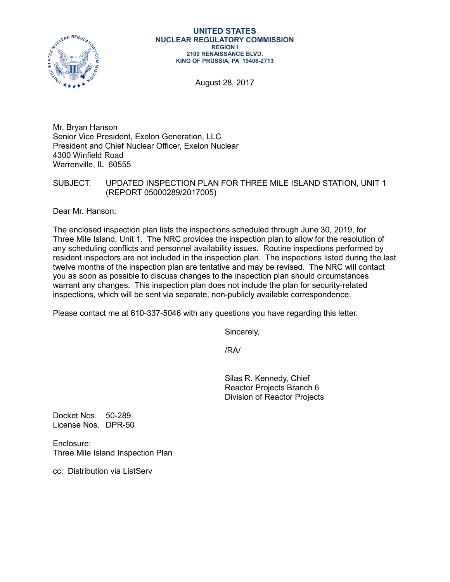

#### **UNITED STATES NUCLEAR REGULATORY COMMISSION REGION I 2100 RENAISSANCE BLVD. KING OF PRUSSIA, PA 19406-2713**

August 28, 2017

Mr. Bryan Hanson Senior Vice President, Exelon Generation, LLC President and Chief Nuclear Officer, Exelon Nuclear 4300 Winfield Road Warrenville, IL 60555

### SUBJECT: UPDATED INSPECTION PLAN FOR THREE MILE ISLAND STATION, UNIT 1 (REPORT 05000289/2017005)

Dear Mr. Hanson:

The enclosed inspection plan lists the inspections scheduled through June 30, 2019, for Three Mile Island, Unit 1. The NRC provides the inspection plan to allow for the resolution of any scheduling conflicts and personnel availability issues. Routine inspections performed by resident inspectors are not included in the inspection plan. The inspections listed during the last twelve months of the inspection plan are tentative and may be revised. The NRC will contact you as soon as possible to discuss changes to the inspection plan should circumstances warrant any changes. This inspection plan does not include the plan for security-related inspections, which will be sent via separate, non-publicly available correspondence.

Please contact me at 610-337-5046 with any questions you have regarding this letter.

Sincerely,

/RA/

Silas R. Kennedy, Chief Reactor Projects Branch 6 Division of Reactor Projects

Docket Nos. 50-289 License Nos. DPR-50

Enclosure: Three Mile Island Inspection Plan

cc: Distribution via ListServ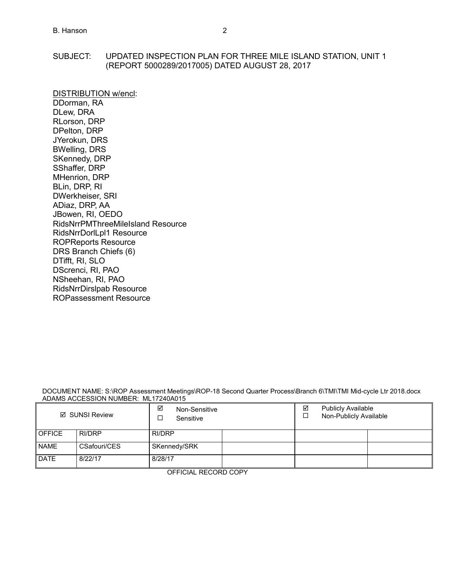### SUBJECT: UPDATED INSPECTION PLAN FOR THREE MILE ISLAND STATION, UNIT 1 (REPORT 5000289/2017005) DATED AUGUST 28, 2017

DISTRIBUTION w/encl: DDorman, RA DLew, DRA RLorson, DRP DPelton, DRP JYerokun, DRS BWelling, DRS SKennedy, DRP SShaffer, DRP MHenrion, DRP BLin, DRP, RI DWerkheiser, SRI ADiaz, DRP, AA JBowen, RI, OEDO RidsNrrPMThreeMileIsland Resource RidsNrrDorlLpl1 Resource ROPReports Resource DRS Branch Chiefs (6) DTifft, RI, SLO DScrenci, RI, PAO NSheehan, RI, PAO RidsNrrDirslpab Resource ROPassessment Resource

#### DOCUMENT NAME: S:\ROP Assessment Meetings\ROP-18 Second Quarter Process\Branch 6\TMI\TMI Mid-cycle Ltr 2018.docx ADAMS ACCESSION NUMBER: ML17240A015

| ☑ SUNSI Review |              | ☑<br>Non-Sensitive<br>Sensitive |  |  | ☑<br><b>Publicly Available</b><br>Non-Publicly Available |  |  |
|----------------|--------------|---------------------------------|--|--|----------------------------------------------------------|--|--|
| <b>OFFICE</b>  | RI/DRP       | RI/DRP                          |  |  |                                                          |  |  |
| <b>NAME</b>    | CSafouri/CES | SKennedy/SRK                    |  |  |                                                          |  |  |
| <b>DATE</b>    | 8/22/17      | 8/28/17                         |  |  |                                                          |  |  |

OFFICIAL RECORD COPY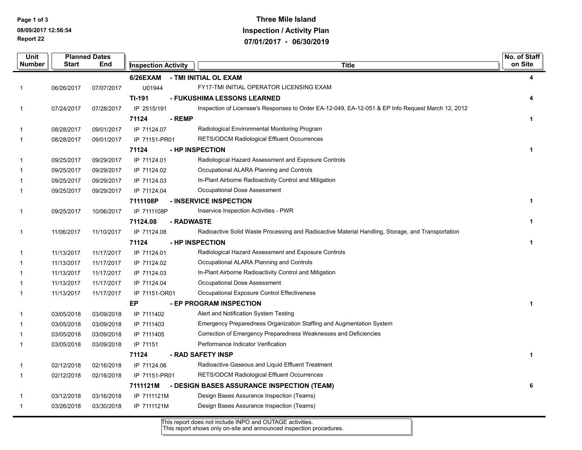**Report 22 Page 1 of 3 08/09/2017 12:56:54**

### **Three Mile Island Inspection / Activity Plan 07/01/2017 - 06/30/2019**

|                               | <b>Unit</b> | <b>Planned Dates</b> |                                            |               |            |                                                                                                   | No. of Staff<br>on Site |
|-------------------------------|-------------|----------------------|--------------------------------------------|---------------|------------|---------------------------------------------------------------------------------------------------|-------------------------|
| End<br>Number<br><b>Start</b> |             |                      | <b>Title</b><br><b>Inspection Activity</b> |               |            |                                                                                                   |                         |
|                               |             |                      |                                            | 6/26EXAM      |            | - TMI INITIAL OL EXAM                                                                             | 4                       |
|                               | -1          | 06/26/2017           | 07/07/2017                                 | U01944        |            | FY17-TMI INITIAL OPERATOR LICENSING EXAM                                                          |                         |
|                               |             |                      |                                            | <b>TI-191</b> |            | - FUKUSHIMA LESSONS LEARNED                                                                       | 4                       |
|                               | 1           | 07/24/2017           | 07/28/2017                                 | IP 2515/191   |            | Inspection of Licensee's Responses to Order EA-12-049, EA-12-051 & EP Info Request March 12, 2012 |                         |
|                               |             |                      |                                            | 71124         | - REMP     |                                                                                                   | $\mathbf 1$             |
|                               |             | 08/28/2017           | 09/01/2017                                 | IP 71124.07   |            | Radiological Environmental Monitoring Program                                                     |                         |
|                               | 1           | 08/28/2017           | 09/01/2017                                 | IP 71151-PR01 |            | RETS/ODCM Radiological Effluent Occurrences                                                       |                         |
|                               |             |                      |                                            | 71124         |            | - HP INSPECTION                                                                                   | $\mathbf{1}$            |
|                               |             | 09/25/2017           | 09/29/2017                                 | IP 71124.01   |            | Radiological Hazard Assessment and Exposure Controls                                              |                         |
|                               |             | 09/25/2017           | 09/29/2017                                 | IP 71124.02   |            | Occupational ALARA Planning and Controls                                                          |                         |
|                               |             | 09/25/2017           | 09/29/2017                                 | IP 71124.03   |            | In-Plant Airborne Radioactivity Control and Mitigation                                            |                         |
|                               | 1           | 09/25/2017           | 09/29/2017                                 | IP 71124.04   |            | Occupational Dose Assessment                                                                      |                         |
|                               |             |                      |                                            | 7111108P      |            | - INSERVICE INSPECTION                                                                            | $\mathbf{1}$            |
|                               | 1           | 09/25/2017           | 10/06/2017                                 | IP 7111108P   |            | Inservice Inspection Activities - PWR                                                             |                         |
|                               |             |                      |                                            | 71124.08      | - RADWASTE |                                                                                                   | 1                       |
|                               | 1           | 11/06/2017           | 11/10/2017                                 | IP 71124.08   |            | Radioactive Solid Waste Processing and Radioactive Material Handling, Storage, and Transportation |                         |
|                               |             |                      |                                            | 71124         |            | - HP INSPECTION                                                                                   | 1                       |
|                               |             | 11/13/2017           | 11/17/2017                                 | IP 71124.01   |            | Radiological Hazard Assessment and Exposure Controls                                              |                         |
|                               |             | 11/13/2017           | 11/17/2017                                 | IP 71124.02   |            | Occupational ALARA Planning and Controls                                                          |                         |
|                               |             | 11/13/2017           | 11/17/2017                                 | IP 71124.03   |            | In-Plant Airborne Radioactivity Control and Mitigation                                            |                         |
|                               |             | 11/13/2017           | 11/17/2017                                 | IP 71124.04   |            | Occupational Dose Assessment                                                                      |                         |
|                               |             | 11/13/2017           | 11/17/2017                                 | IP 71151-OR01 |            | Occupational Exposure Control Effectiveness                                                       |                         |
|                               |             |                      |                                            | EP            |            | - EP PROGRAM INSPECTION                                                                           | $\mathbf{1}$            |
|                               |             | 03/05/2018           | 03/09/2018                                 | IP 7111402    |            | Alert and Notification System Testing                                                             |                         |
|                               |             | 03/05/2018           | 03/09/2018                                 | IP 7111403    |            | Emergency Preparedness Organization Staffing and Augmentation System                              |                         |
|                               |             | 03/05/2018           | 03/09/2018                                 | IP 7111405    |            | Correction of Emergency Preparedness Weaknesses and Deficiencies                                  |                         |
|                               |             | 03/05/2018           | 03/09/2018                                 | IP 71151      |            | Performance Indicator Verification                                                                |                         |
|                               |             |                      |                                            | 71124         |            | - RAD SAFETY INSP                                                                                 | $\mathbf 1$             |
|                               | -1          | 02/12/2018           | 02/16/2018                                 | IP 71124.06   |            | Radioactive Gaseous and Liquid Effluent Treatment                                                 |                         |
|                               | -1          | 02/12/2018           | 02/16/2018                                 | IP 71151-PR01 |            | RETS/ODCM Radiological Effluent Occurrences                                                       |                         |
|                               |             |                      |                                            | 7111121M      |            | - DESIGN BASES ASSURANCE INSPECTION (TEAM)                                                        | 6                       |
|                               |             | 03/12/2018           | 03/16/2018                                 | IP 7111121M   |            | Design Bases Assurance Inspection (Teams)                                                         |                         |
|                               | -1          | 03/26/2018           | 03/30/2018                                 | IP 7111121M   |            | Design Bases Assurance Inspection (Teams)                                                         |                         |
|                               |             |                      |                                            |               |            |                                                                                                   |                         |

This report does not include INPO and OUTAGE activities.

This report shows only on-site and announced inspection procedures.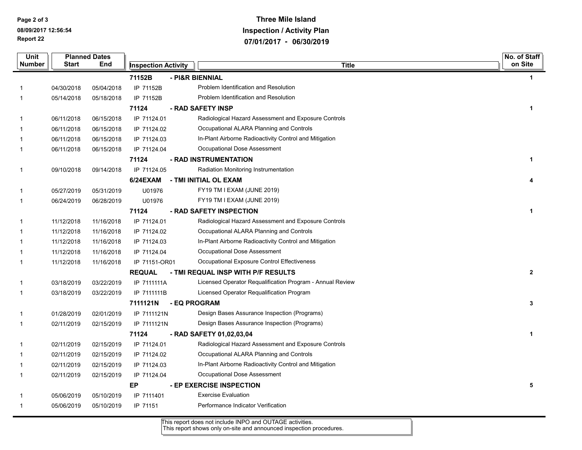**Report 22 Page 2 of 3 08/09/2017 12:56:54**

# **Three Mile Island Inspection / Activity Plan 07/01/2017 - 06/30/2019**

| <b>Unit</b> |              | <b>Planned Dates</b> |                            |              |                                                           | No. of Staff         |
|-------------|--------------|----------------------|----------------------------|--------------|-----------------------------------------------------------|----------------------|
| Number      | <b>Start</b> | End                  | <b>Inspection Activity</b> |              | <b>Title</b>                                              | on Site              |
|             |              |                      | 71152B                     |              | - PI&R BIENNIAL                                           | $\mathbf 1$          |
|             | 04/30/2018   | 05/04/2018           | IP 71152B                  |              | Problem Identification and Resolution                     |                      |
| $\mathbf 1$ | 05/14/2018   | 05/18/2018           | IP 71152B                  |              | Problem Identification and Resolution                     |                      |
|             |              |                      | 71124                      |              | - RAD SAFETY INSP                                         | $\blacktriangleleft$ |
| -1          | 06/11/2018   | 06/15/2018           | IP 71124.01                |              | Radiological Hazard Assessment and Exposure Controls      |                      |
|             | 06/11/2018   | 06/15/2018           | IP 71124.02                |              | Occupational ALARA Planning and Controls                  |                      |
|             | 06/11/2018   | 06/15/2018           | IP 71124.03                |              | In-Plant Airborne Radioactivity Control and Mitigation    |                      |
| $\mathbf 1$ | 06/11/2018   | 06/15/2018           | IP 71124.04                |              | Occupational Dose Assessment                              |                      |
|             |              |                      | 71124                      |              | - RAD INSTRUMENTATION                                     | $\mathbf{1}$         |
| 1           | 09/10/2018   | 09/14/2018           | IP 71124.05                |              | Radiation Monitoring Instrumentation                      |                      |
|             |              |                      | 6/24EXAM                   |              | - TMI INITIAL OL EXAM                                     | 4                    |
|             | 05/27/2019   | 05/31/2019           | U01976                     |              | FY19 TM I EXAM (JUNE 2019)                                |                      |
| 1           | 06/24/2019   | 06/28/2019           | U01976                     |              | FY19 TM I EXAM (JUNE 2019)                                |                      |
|             |              |                      | 71124                      |              | - RAD SAFETY INSPECTION                                   | $\mathbf{1}$         |
|             | 11/12/2018   | 11/16/2018           | IP 71124.01                |              | Radiological Hazard Assessment and Exposure Controls      |                      |
|             | 11/12/2018   | 11/16/2018           | IP 71124.02                |              | Occupational ALARA Planning and Controls                  |                      |
|             | 11/12/2018   | 11/16/2018           | IP 71124.03                |              | In-Plant Airborne Radioactivity Control and Mitigation    |                      |
|             | 11/12/2018   | 11/16/2018           | IP 71124.04                |              | Occupational Dose Assessment                              |                      |
| $\mathbf 1$ | 11/12/2018   | 11/16/2018           | IP 71151-OR01              |              | Occupational Exposure Control Effectiveness               |                      |
|             |              |                      | <b>REQUAL</b>              |              | - TMI REQUAL INSP WITH P/F RESULTS                        | $\mathbf{2}$         |
|             | 03/18/2019   | 03/22/2019           | IP 7111111A                |              | Licensed Operator Requalification Program - Annual Review |                      |
| 1           | 03/18/2019   | 03/22/2019           | IP 7111111B                |              | Licensed Operator Requalification Program                 |                      |
|             |              |                      | 7111121N                   | - EQ PROGRAM |                                                           | 3                    |
| $\mathbf 1$ | 01/28/2019   | 02/01/2019           | IP 7111121N                |              | Design Bases Assurance Inspection (Programs)              |                      |
| -1          | 02/11/2019   | 02/15/2019           | IP 7111121N                |              | Design Bases Assurance Inspection (Programs)              |                      |
|             |              |                      | 71124                      |              | - RAD SAFETY 01,02,03,04                                  | $\mathbf{1}$         |
| -1          | 02/11/2019   | 02/15/2019           | IP 71124.01                |              | Radiological Hazard Assessment and Exposure Controls      |                      |
|             | 02/11/2019   | 02/15/2019           | IP 71124.02                |              | Occupational ALARA Planning and Controls                  |                      |
|             | 02/11/2019   | 02/15/2019           | IP 71124.03                |              | In-Plant Airborne Radioactivity Control and Mitigation    |                      |
| $\mathbf 1$ | 02/11/2019   | 02/15/2019           | IP 71124.04                |              | Occupational Dose Assessment                              |                      |
|             |              |                      | EP                         |              | - EP EXERCISE INSPECTION                                  | 5                    |
|             | 05/06/2019   | 05/10/2019           | IP 7111401                 |              | <b>Exercise Evaluation</b>                                |                      |
|             | 05/06/2019   | 05/10/2019           | IP 71151                   |              | Performance Indicator Verification                        |                      |
|             |              |                      |                            |              |                                                           |                      |

This report does not include INPO and OUTAGE activities.

This report shows only on-site and announced inspection procedures.